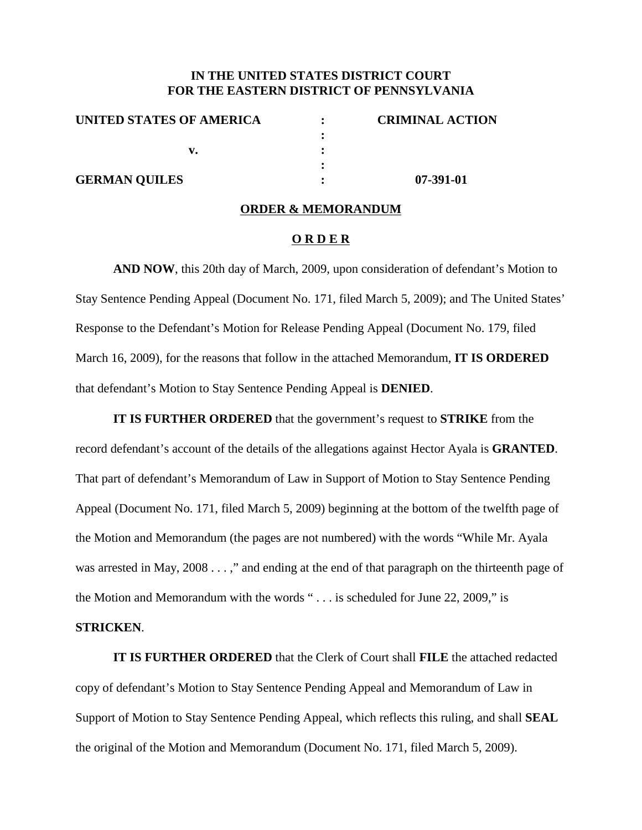## **IN THE UNITED STATES DISTRICT COURT FOR THE EASTERN DISTRICT OF PENNSYLVANIA**

| UNITED STATES OF AMERICA | <b>CRIMINAL ACTION</b> |
|--------------------------|------------------------|
|                          |                        |
|                          |                        |
|                          |                        |
| <b>GERMAN QUILES</b>     | 07-391-01              |

#### **ORDER & MEMORANDUM**

#### **O R D E R**

**AND NOW**, this 20th day of March, 2009, upon consideration of defendant's Motion to Stay Sentence Pending Appeal (Document No. 171, filed March 5, 2009); and The United States' Response to the Defendant's Motion for Release Pending Appeal (Document No. 179, filed March 16, 2009), for the reasons that follow in the attached Memorandum, **IT IS ORDERED** that defendant's Motion to Stay Sentence Pending Appeal is **DENIED**.

**IT IS FURTHER ORDERED** that the government's request to **STRIKE** from the record defendant's account of the details of the allegations against Hector Ayala is **GRANTED**. That part of defendant's Memorandum of Law in Support of Motion to Stay Sentence Pending Appeal (Document No. 171, filed March 5, 2009) beginning at the bottom of the twelfth page of the Motion and Memorandum (the pages are not numbered) with the words "While Mr. Ayala was arrested in May, 2008 . . . ," and ending at the end of that paragraph on the thirteenth page of the Motion and Memorandum with the words " . . . is scheduled for June 22, 2009," is

### **STRICKEN**.

**IT IS FURTHER ORDERED** that the Clerk of Court shall **FILE** the attached redacted copy of defendant's Motion to Stay Sentence Pending Appeal and Memorandum of Law in Support of Motion to Stay Sentence Pending Appeal, which reflects this ruling, and shall **SEAL** the original of the Motion and Memorandum (Document No. 171, filed March 5, 2009).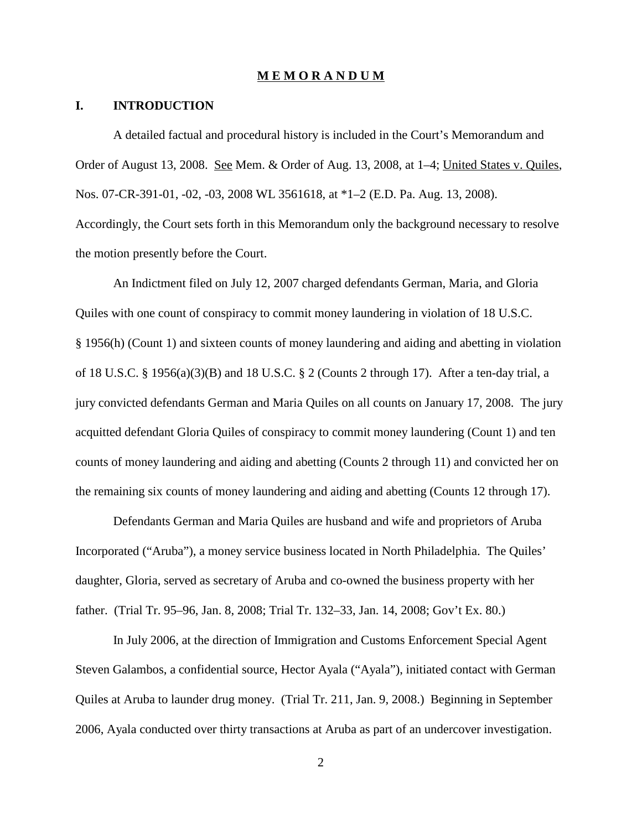#### **M E M O R A N D U M**

### **I. INTRODUCTION**

A detailed factual and procedural history is included in the Court's Memorandum and Order of August 13, 2008. See Mem. & Order of Aug. 13, 2008, at 1–4; United States v. Quiles, Nos. 07-CR-391-01, -02, -03, 2008 WL 3561618, at \*1–2 (E.D. Pa. Aug. 13, 2008). Accordingly, the Court sets forth in this Memorandum only the background necessary to resolve

the motion presently before the Court.

An Indictment filed on July 12, 2007 charged defendants German, Maria, and Gloria Quiles with one count of conspiracy to commit money laundering in violation of 18 U.S.C. § 1956(h) (Count 1) and sixteen counts of money laundering and aiding and abetting in violation of 18 U.S.C. § 1956(a)(3)(B) and 18 U.S.C. § 2 (Counts 2 through 17). After a ten-day trial, a jury convicted defendants German and Maria Quiles on all counts on January 17, 2008. The jury acquitted defendant Gloria Quiles of conspiracy to commit money laundering (Count 1) and ten counts of money laundering and aiding and abetting (Counts 2 through 11) and convicted her on the remaining six counts of money laundering and aiding and abetting (Counts 12 through 17).

Defendants German and Maria Quiles are husband and wife and proprietors of Aruba Incorporated ("Aruba"), a money service business located in North Philadelphia. The Quiles' daughter, Gloria, served as secretary of Aruba and co-owned the business property with her father. (Trial Tr. 95–96, Jan. 8, 2008; Trial Tr. 132–33, Jan. 14, 2008; Gov't Ex. 80.)

In July 2006, at the direction of Immigration and Customs Enforcement Special Agent Steven Galambos, a confidential source, Hector Ayala ("Ayala"), initiated contact with German Quiles at Aruba to launder drug money. (Trial Tr. 211, Jan. 9, 2008.) Beginning in September 2006, Ayala conducted over thirty transactions at Aruba as part of an undercover investigation.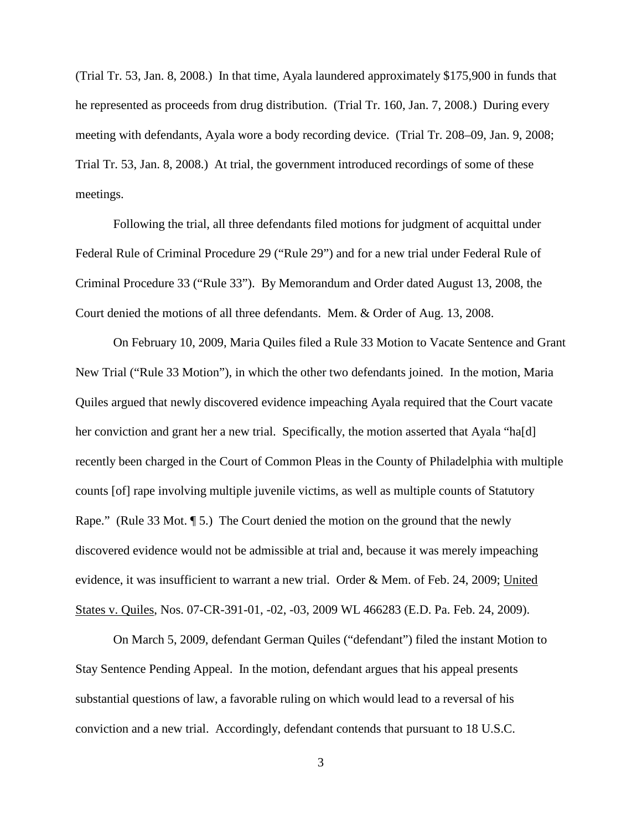(Trial Tr. 53, Jan. 8, 2008.) In that time, Ayala laundered approximately \$175,900 in funds that he represented as proceeds from drug distribution. (Trial Tr. 160, Jan. 7, 2008.) During every meeting with defendants, Ayala wore a body recording device. (Trial Tr. 208–09, Jan. 9, 2008; Trial Tr. 53, Jan. 8, 2008.) At trial, the government introduced recordings of some of these meetings.

Following the trial, all three defendants filed motions for judgment of acquittal under Federal Rule of Criminal Procedure 29 ("Rule 29") and for a new trial under Federal Rule of Criminal Procedure 33 ("Rule 33"). By Memorandum and Order dated August 13, 2008, the Court denied the motions of all three defendants. Mem. & Order of Aug. 13, 2008.

On February 10, 2009, Maria Quiles filed a Rule 33 Motion to Vacate Sentence and Grant New Trial ("Rule 33 Motion"), in which the other two defendants joined. In the motion, Maria Quiles argued that newly discovered evidence impeaching Ayala required that the Court vacate her conviction and grant her a new trial. Specifically, the motion asserted that Ayala "ha[d] recently been charged in the Court of Common Pleas in the County of Philadelphia with multiple counts [of] rape involving multiple juvenile victims, as well as multiple counts of Statutory Rape." (Rule 33 Mot. ¶ 5.) The Court denied the motion on the ground that the newly discovered evidence would not be admissible at trial and, because it was merely impeaching evidence, it was insufficient to warrant a new trial. Order & Mem. of Feb. 24, 2009; United States v. Quiles, Nos. 07-CR-391-01, -02, -03, 2009 WL 466283 (E.D. Pa. Feb. 24, 2009).

On March 5, 2009, defendant German Quiles ("defendant") filed the instant Motion to Stay Sentence Pending Appeal. In the motion, defendant argues that his appeal presents substantial questions of law, a favorable ruling on which would lead to a reversal of his conviction and a new trial. Accordingly, defendant contends that pursuant to 18 U.S.C.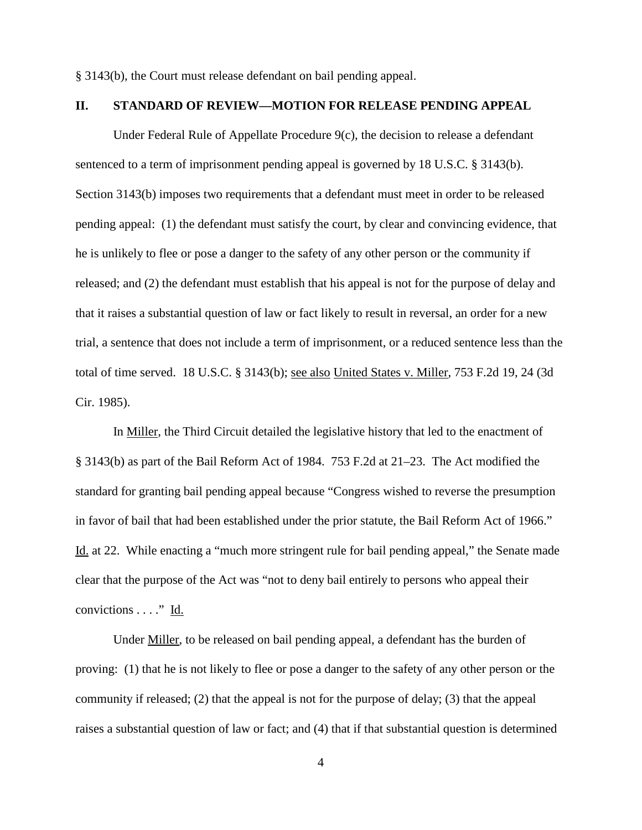§ 3143(b), the Court must release defendant on bail pending appeal.

## **II. STANDARD OF REVIEW—MOTION FOR RELEASE PENDING APPEAL**

Under Federal Rule of Appellate Procedure 9(c), the decision to release a defendant sentenced to a term of imprisonment pending appeal is governed by 18 U.S.C. § 3143(b). Section 3143(b) imposes two requirements that a defendant must meet in order to be released pending appeal: (1) the defendant must satisfy the court, by clear and convincing evidence, that he is unlikely to flee or pose a danger to the safety of any other person or the community if released; and (2) the defendant must establish that his appeal is not for the purpose of delay and that it raises a substantial question of law or fact likely to result in reversal, an order for a new trial, a sentence that does not include a term of imprisonment, or a reduced sentence less than the total of time served. 18 U.S.C. § 3143(b); see also United States v. Miller, 753 F.2d 19, 24 (3d Cir. 1985).

In Miller, the Third Circuit detailed the legislative history that led to the enactment of § 3143(b) as part of the Bail Reform Act of 1984. 753 F.2d at 21–23. The Act modified the standard for granting bail pending appeal because "Congress wished to reverse the presumption in favor of bail that had been established under the prior statute, the Bail Reform Act of 1966." Id. at 22. While enacting a "much more stringent rule for bail pending appeal," the Senate made clear that the purpose of the Act was "not to deny bail entirely to persons who appeal their convictions  $\dots$ ." Id.

Under Miller, to be released on bail pending appeal, a defendant has the burden of proving: (1) that he is not likely to flee or pose a danger to the safety of any other person or the community if released; (2) that the appeal is not for the purpose of delay; (3) that the appeal raises a substantial question of law or fact; and (4) that if that substantial question is determined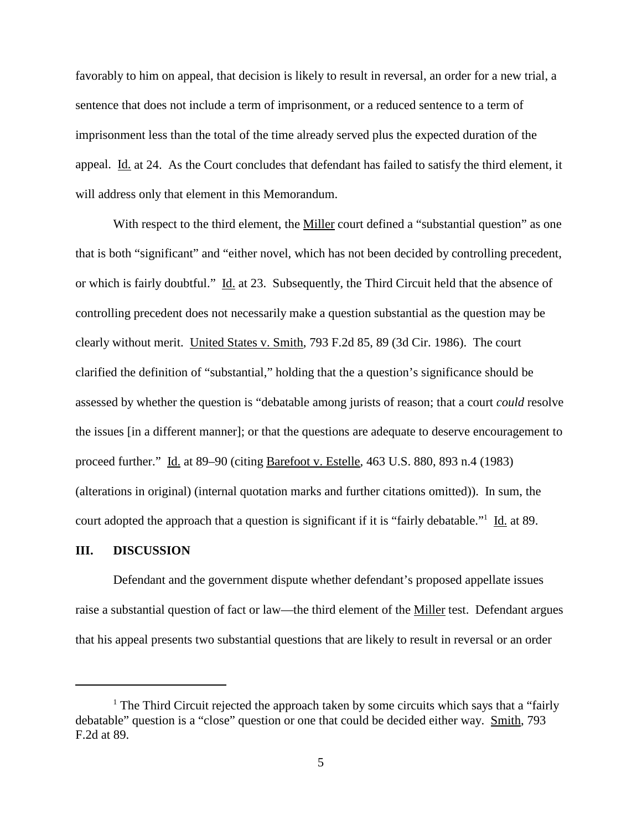favorably to him on appeal, that decision is likely to result in reversal, an order for a new trial, a sentence that does not include a term of imprisonment, or a reduced sentence to a term of imprisonment less than the total of the time already served plus the expected duration of the appeal. Id. at 24. As the Court concludes that defendant has failed to satisfy the third element, it will address only that element in this Memorandum.

With respect to the third element, the Miller court defined a "substantial question" as one that is both "significant" and "either novel, which has not been decided by controlling precedent, or which is fairly doubtful." Id. at 23. Subsequently, the Third Circuit held that the absence of controlling precedent does not necessarily make a question substantial as the question may be clearly without merit. United States v. Smith, 793 F.2d 85, 89 (3d Cir. 1986). The court clarified the definition of "substantial," holding that the a question's significance should be assessed by whether the question is "debatable among jurists of reason; that a court *could* resolve the issues [in a different manner]; or that the questions are adequate to deserve encouragement to proceed further." Id. at 89–90 (citing Barefoot v. Estelle, 463 U.S. 880, 893 n.4 (1983) (alterations in original) (internal quotation marks and further citations omitted)). In sum, the court adopted the approach that a question is significant if it is "fairly debatable."1 Id. at 89.

### **III. DISCUSSION**

Defendant and the government dispute whether defendant's proposed appellate issues raise a substantial question of fact or law—the third element of the Miller test. Defendant argues that his appeal presents two substantial questions that are likely to result in reversal or an order

<sup>&</sup>lt;sup>1</sup> The Third Circuit rejected the approach taken by some circuits which says that a "fairly" debatable" question is a "close" question or one that could be decided either way. Smith, 793 F.2d at 89.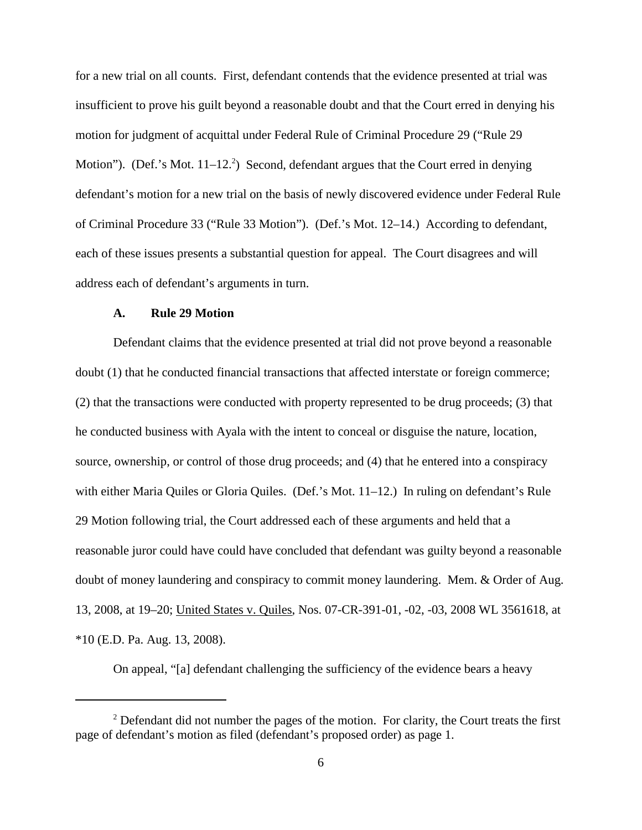for a new trial on all counts. First, defendant contends that the evidence presented at trial was insufficient to prove his guilt beyond a reasonable doubt and that the Court erred in denying his motion for judgment of acquittal under Federal Rule of Criminal Procedure 29 ("Rule 29 Motion"). (Def.'s Mot. 11–12.<sup>2</sup>) Second, defendant argues that the Court erred in denying defendant's motion for a new trial on the basis of newly discovered evidence under Federal Rule of Criminal Procedure 33 ("Rule 33 Motion"). (Def.'s Mot. 12–14.) According to defendant, each of these issues presents a substantial question for appeal. The Court disagrees and will address each of defendant's arguments in turn.

# **A. Rule 29 Motion**

Defendant claims that the evidence presented at trial did not prove beyond a reasonable doubt (1) that he conducted financial transactions that affected interstate or foreign commerce; (2) that the transactions were conducted with property represented to be drug proceeds; (3) that he conducted business with Ayala with the intent to conceal or disguise the nature, location, source, ownership, or control of those drug proceeds; and (4) that he entered into a conspiracy with either Maria Quiles or Gloria Quiles. (Def.'s Mot. 11–12.) In ruling on defendant's Rule 29 Motion following trial, the Court addressed each of these arguments and held that a reasonable juror could have could have concluded that defendant was guilty beyond a reasonable doubt of money laundering and conspiracy to commit money laundering. Mem. & Order of Aug. 13, 2008, at 19–20; United States v. Quiles, Nos. 07-CR-391-01, -02, -03, 2008 WL 3561618, at \*10 (E.D. Pa. Aug. 13, 2008).

On appeal, "[a] defendant challenging the sufficiency of the evidence bears a heavy

 $2$  Defendant did not number the pages of the motion. For clarity, the Court treats the first page of defendant's motion as filed (defendant's proposed order) as page 1.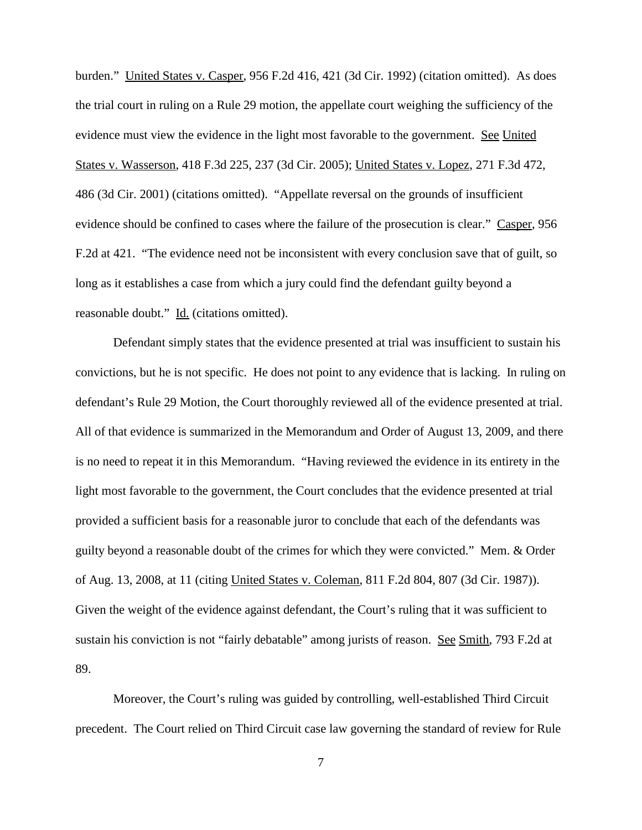burden." United States v. Casper, 956 F.2d 416, 421 (3d Cir. 1992) (citation omitted). As does the trial court in ruling on a Rule 29 motion, the appellate court weighing the sufficiency of the evidence must view the evidence in the light most favorable to the government. See United States v. Wasserson, 418 F.3d 225, 237 (3d Cir. 2005); United States v. Lopez, 271 F.3d 472, 486 (3d Cir. 2001) (citations omitted). "Appellate reversal on the grounds of insufficient evidence should be confined to cases where the failure of the prosecution is clear." Casper, 956 F.2d at 421. "The evidence need not be inconsistent with every conclusion save that of guilt, so long as it establishes a case from which a jury could find the defendant guilty beyond a reasonable doubt." Id. (citations omitted).

Defendant simply states that the evidence presented at trial was insufficient to sustain his convictions, but he is not specific. He does not point to any evidence that is lacking. In ruling on defendant's Rule 29 Motion, the Court thoroughly reviewed all of the evidence presented at trial. All of that evidence is summarized in the Memorandum and Order of August 13, 2009, and there is no need to repeat it in this Memorandum. "Having reviewed the evidence in its entirety in the light most favorable to the government, the Court concludes that the evidence presented at trial provided a sufficient basis for a reasonable juror to conclude that each of the defendants was guilty beyond a reasonable doubt of the crimes for which they were convicted." Mem. & Order of Aug. 13, 2008, at 11 (citing United States v. Coleman, 811 F.2d 804, 807 (3d Cir. 1987)). Given the weight of the evidence against defendant, the Court's ruling that it was sufficient to sustain his conviction is not "fairly debatable" among jurists of reason. See Smith, 793 F.2d at 89.

Moreover, the Court's ruling was guided by controlling, well-established Third Circuit precedent. The Court relied on Third Circuit case law governing the standard of review for Rule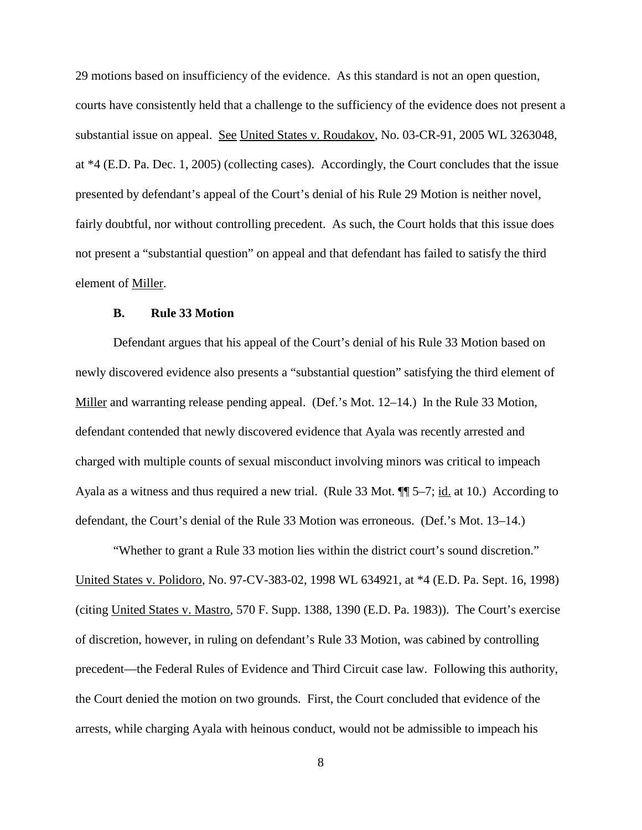29 motions based on insufficiency of the evidence. As this standard is not an open question, courts have consistently held that a challenge to the sufficiency of the evidence does not present a substantial issue on appeal. See United States v. Roudakov, No. 03-CR-91, 2005 WL 3263048, at \*4 (E.D. Pa. Dec. 1, 2005) (collecting cases). Accordingly, the Court concludes that the issue presented by defendant's appeal of the Court's denial of his Rule 29 Motion is neither novel, fairly doubtful, nor without controlling precedent. As such, the Court holds that this issue does not present a "substantial question" on appeal and that defendant has failed to satisfy the third element of Miller.

#### **B. Rule 33 Motion**

Defendant argues that his appeal of the Court's denial of his Rule 33 Motion based on newly discovered evidence also presents a "substantial question" satisfying the third element of Miller and warranting release pending appeal. (Def.'s Mot. 12–14.) In the Rule 33 Motion, defendant contended that newly discovered evidence that Ayala was recently arrested and charged with multiple counts of sexual misconduct involving minors was critical to impeach Ayala as a witness and thus required a new trial. (Rule 33 Mot.  $\P$  5–7; <u>id.</u> at 10.) According to defendant, the Court's denial of the Rule 33 Motion was erroneous. (Def.'s Mot. 13–14.)

"Whether to grant a Rule 33 motion lies within the district court's sound discretion." United States v. Polidoro, No. 97-CV-383-02, 1998 WL 634921, at \*4 (E.D. Pa. Sept. 16, 1998) (citing United States v. Mastro, 570 F. Supp. 1388, 1390 (E.D. Pa. 1983)). The Court's exercise of discretion, however, in ruling on defendant's Rule 33 Motion, was cabined by controlling precedent—the Federal Rules of Evidence and Third Circuit case law. Following this authority, the Court denied the motion on two grounds. First, the Court concluded that evidence of the arrests, while charging Ayala with heinous conduct, would not be admissible to impeach his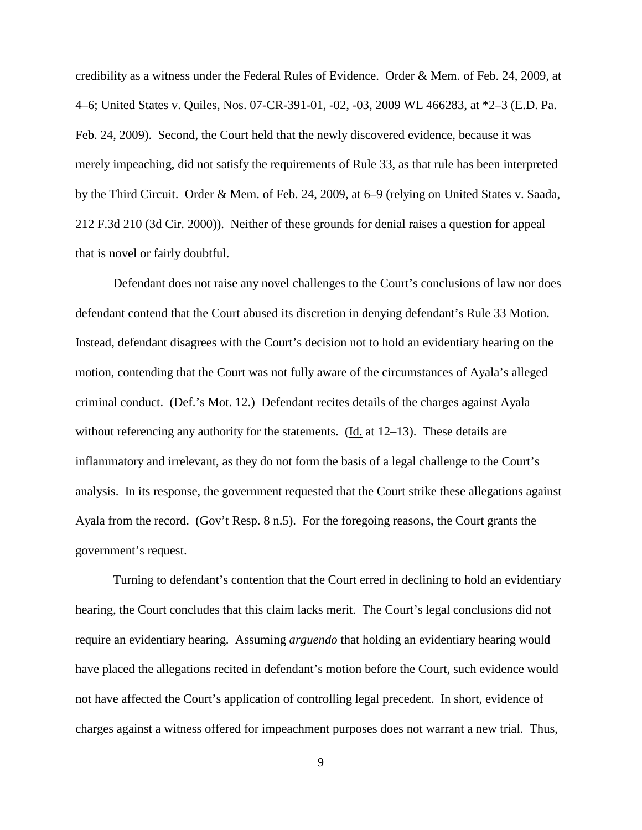credibility as a witness under the Federal Rules of Evidence. Order & Mem. of Feb. 24, 2009, at 4–6; United States v. Quiles, Nos. 07-CR-391-01, -02, -03, 2009 WL 466283, at \*2–3 (E.D. Pa. Feb. 24, 2009). Second, the Court held that the newly discovered evidence, because it was merely impeaching, did not satisfy the requirements of Rule 33, as that rule has been interpreted by the Third Circuit. Order & Mem. of Feb. 24, 2009, at 6–9 (relying on United States v. Saada, 212 F.3d 210 (3d Cir. 2000)). Neither of these grounds for denial raises a question for appeal that is novel or fairly doubtful.

Defendant does not raise any novel challenges to the Court's conclusions of law nor does defendant contend that the Court abused its discretion in denying defendant's Rule 33 Motion. Instead, defendant disagrees with the Court's decision not to hold an evidentiary hearing on the motion, contending that the Court was not fully aware of the circumstances of Ayala's alleged criminal conduct. (Def.'s Mot. 12.) Defendant recites details of the charges against Ayala without referencing any authority for the statements. (Id. at 12–13). These details are inflammatory and irrelevant, as they do not form the basis of a legal challenge to the Court's analysis. In its response, the government requested that the Court strike these allegations against Ayala from the record. (Gov't Resp. 8 n.5). For the foregoing reasons, the Court grants the government's request.

Turning to defendant's contention that the Court erred in declining to hold an evidentiary hearing, the Court concludes that this claim lacks merit. The Court's legal conclusions did not require an evidentiary hearing. Assuming *arguendo* that holding an evidentiary hearing would have placed the allegations recited in defendant's motion before the Court, such evidence would not have affected the Court's application of controlling legal precedent. In short, evidence of charges against a witness offered for impeachment purposes does not warrant a new trial. Thus,